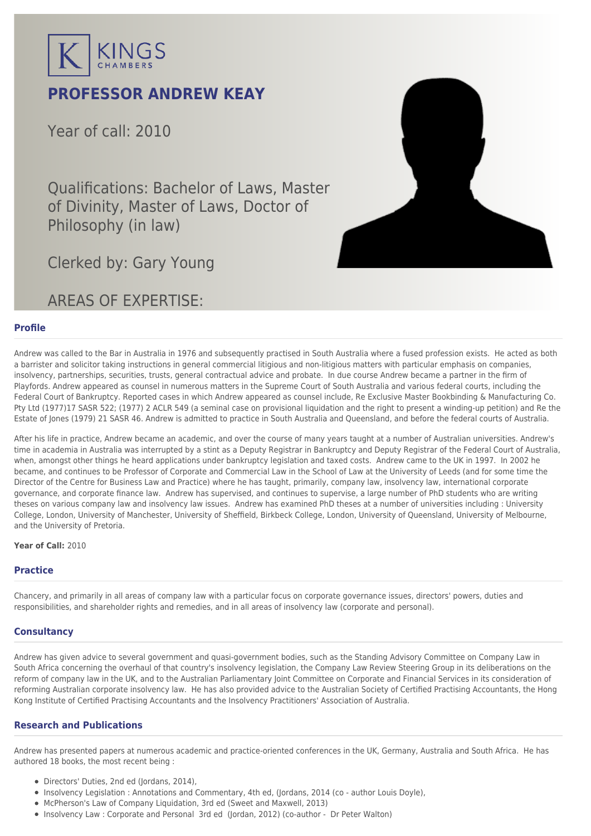

# **PROFESSOR ANDREW KEAY**

Year of call: 2010

Qualifications: Bachelor of Laws, Master of Divinity, Master of Laws, Doctor of Philosophy (in law)



Clerked by: [Gary Young](mailto:gyoung@kingschambers.com)

# AREAS OF EXPERTISE:

## **Profile**

Andrew was called to the Bar in Australia in 1976 and subsequently practised in South Australia where a fused profession exists. He acted as both a barrister and solicitor taking instructions in general commercial litigious and non-litigious matters with particular emphasis on companies, insolvency, partnerships, securities, trusts, general contractual advice and probate. In due course Andrew became a partner in the firm of Playfords. Andrew appeared as counsel in numerous matters in the Supreme Court of South Australia and various federal courts, including the Federal Court of Bankruptcy. Reported cases in which Andrew appeared as counsel include, Re Exclusive Master Bookbinding & Manufacturing Co. Pty Ltd (1977)17 SASR 522; (1977) 2 ACLR 549 (a seminal case on provisional liquidation and the right to present a winding-up petition) and Re the Estate of Jones (1979) 21 SASR 46. Andrew is admitted to practice in South Australia and Queensland, and before the federal courts of Australia.

After his life in practice, Andrew became an academic, and over the course of many years taught at a number of Australian universities. Andrew's time in academia in Australia was interrupted by a stint as a Deputy Registrar in Bankruptcy and Deputy Registrar of the Federal Court of Australia, when, amongst other things he heard applications under bankruptcy legislation and taxed costs. Andrew came to the UK in 1997. In 2002 he became, and continues to be Professor of Corporate and Commercial Law in the School of Law at the University of Leeds (and for some time the Director of the Centre for Business Law and Practice) where he has taught, primarily, company law, insolvency law, international corporate governance, and corporate finance law. Andrew has supervised, and continues to supervise, a large number of PhD students who are writing theses on various company law and insolvency law issues. Andrew has examined PhD theses at a number of universities including : University College, London, University of Manchester, University of Sheffield, Birkbeck College, London, University of Queensland, University of Melbourne, and the University of Pretoria.

#### **Year of Call:** 2010

## **Practice**

Chancery, and primarily in all areas of company law with a particular focus on corporate governance issues, directors' powers, duties and responsibilities, and shareholder rights and remedies, and in all areas of insolvency law (corporate and personal).

#### **Consultancy**

Andrew has given advice to several government and quasi-government bodies, such as the Standing Advisory Committee on Company Law in South Africa concerning the overhaul of that country's insolvency legislation, the Company Law Review Steering Group in its deliberations on the reform of company law in the UK, and to the Australian Parliamentary Joint Committee on Corporate and Financial Services in its consideration of reforming Australian corporate insolvency law. He has also provided advice to the Australian Society of Certified Practising Accountants, the Hong Kong Institute of Certified Practising Accountants and the Insolvency Practitioners' Association of Australia.

## **Research and Publications**

Andrew has presented papers at numerous academic and practice-oriented conferences in the UK, Germany, Australia and South Africa. He has authored 18 books, the most recent being :

- Directors' Duties, 2nd ed (Jordans, 2014),
- Insolvency Legislation : Annotations and Commentary, 4th ed, (Jordans, 2014 (co author Louis Doyle),
- McPherson's Law of Company Liquidation, 3rd ed (Sweet and Maxwell, 2013)
- Insolvency Law : Corporate and Personal 3rd ed (Jordan, 2012) (co-author Dr Peter Walton)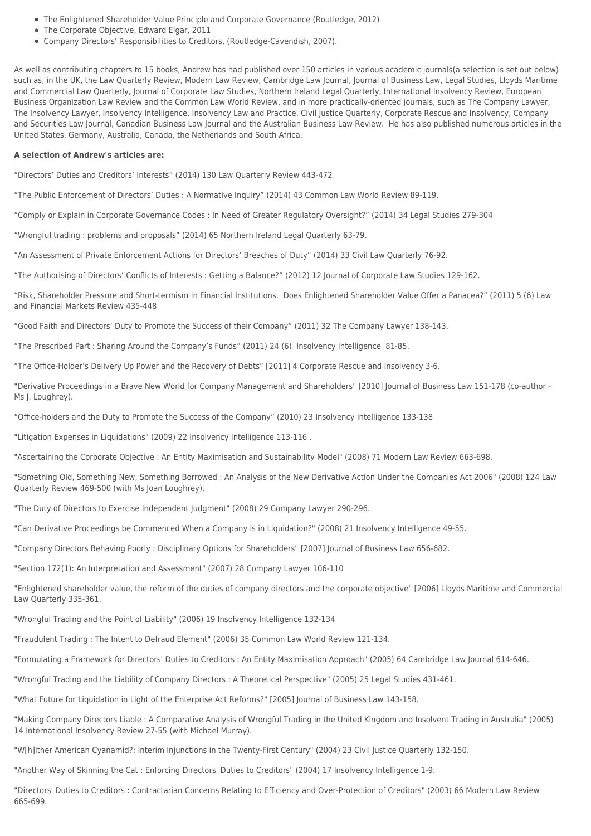- The Enlightened Shareholder Value Principle and Corporate Governance (Routledge, 2012)
- The Corporate Objective, Edward Elgar, 2011
- Company Directors' Responsibilities to Creditors, (Routledge-Cavendish, 2007).

As well as contributing chapters to 15 books, Andrew has had published over 150 articles in various academic journals(a selection is set out below) such as, in the UK, the Law Quarterly Review, Modern Law Review, Cambridge Law Journal, Journal of Business Law, Legal Studies, Lloyds Maritime and Commercial Law Quarterly, Journal of Corporate Law Studies, Northern Ireland Legal Quarterly, International Insolvency Review, European Business Organization Law Review and the Common Law World Review, and in more practically-oriented journals, such as The Company Lawyer, The Insolvency Lawyer, Insolvency Intelligence, Insolvency Law and Practice, Civil Justice Quarterly, Corporate Rescue and Insolvency, Company and Securities Law Journal, Canadian Business Law Journal and the Australian Business Law Review. He has also published numerous articles in the United States, Germany, Australia, Canada, the Netherlands and South Africa.

#### **A selection of Andrew's articles are:**

"Directors' Duties and Creditors' Interests" (2014) 130 Law Quarterly Review 443-472

"The Public Enforcement of Directors' Duties : A Normative Inquiry" (2014) 43 Common Law World Review 89-119.

"Comply or Explain in Corporate Governance Codes : In Need of Greater Regulatory Oversight?" (2014) 34 Legal Studies 279-304

"Wrongful trading : problems and proposals" (2014) 65 Northern Ireland Legal Quarterly 63-79.

"An Assessment of Private Enforcement Actions for Directors' Breaches of Duty" (2014) 33 Civil Law Quarterly 76-92.

"The Authorising of Directors' Conflicts of Interests : Getting a Balance?" (2012) 12 Journal of Corporate Law Studies 129-162.

"Risk, Shareholder Pressure and Short-termism in Financial Institutions. Does Enlightened Shareholder Value Offer a Panacea?" (2011) 5 (6) Law and Financial Markets Review 435-448

"Good Faith and Directors' Duty to Promote the Success of their Company" (2011) 32 The Company Lawyer 138-143.

"The Prescribed Part : Sharing Around the Company's Funds" (2011) 24 (6) Insolvency Intelligence 81-85.

"The Office-Holder's Delivery Up Power and the Recovery of Debts" [2011] 4 Corporate Rescue and Insolvency 3-6.

"Derivative Proceedings in a Brave New World for Company Management and Shareholders" [2010] Journal of Business Law 151-178 (co-author - Ms J. Loughrey).

"Office-holders and the Duty to Promote the Success of the Company" (2010) 23 Insolvency Intelligence 133-138

"Litigation Expenses in Liquidations" (2009) 22 Insolvency Intelligence 113-116 .

"Ascertaining the Corporate Objective : An Entity Maximisation and Sustainability Model" (2008) 71 Modern Law Review 663-698.

"Something Old, Something New, Something Borrowed : An Analysis of the New Derivative Action Under the Companies Act 2006" (2008) 124 Law Quarterly Review 469-500 (with Ms Joan Loughrey).

"The Duty of Directors to Exercise Independent Judgment" (2008) 29 Company Lawyer 290-296.

"Can Derivative Proceedings be Commenced When a Company is in Liquidation?" (2008) 21 Insolvency Intelligence 49-55.

"Company Directors Behaving Poorly : Disciplinary Options for Shareholders" [2007] Journal of Business Law 656-682.

"Section 172(1): An Interpretation and Assessment" (2007) 28 Company Lawyer 106-110

"Enlightened shareholder value, the reform of the duties of company directors and the corporate objective" [2006] Lloyds Maritime and Commercial Law Quarterly 335-361.

"Wrongful Trading and the Point of Liability" (2006) 19 Insolvency Intelligence 132-134

"Fraudulent Trading : The Intent to Defraud Element" (2006) 35 Common Law World Review 121-134.

"Formulating a Framework for Directors' Duties to Creditors : An Entity Maximisation Approach" (2005) 64 Cambridge Law Journal 614-646.

"Wrongful Trading and the Liability of Company Directors : A Theoretical Perspective" (2005) 25 Legal Studies 431-461.

"What Future for Liquidation in Light of the Enterprise Act Reforms?" [2005] Journal of Business Law 143-158.

"Making Company Directors Liable : A Comparative Analysis of Wrongful Trading in the United Kingdom and Insolvent Trading in Australia" (2005) 14 International Insolvency Review 27-55 (with Michael Murray).

"W[h]ither American Cyanamid?: Interim Injunctions in the Twenty-First Century" (2004) 23 Civil Justice Quarterly 132-150.

"Another Way of Skinning the Cat : Enforcing Directors' Duties to Creditors" (2004) 17 Insolvency Intelligence 1-9.

"Directors' Duties to Creditors : Contractarian Concerns Relating to Efficiency and Over-Protection of Creditors" (2003) 66 Modern Law Review 665-699.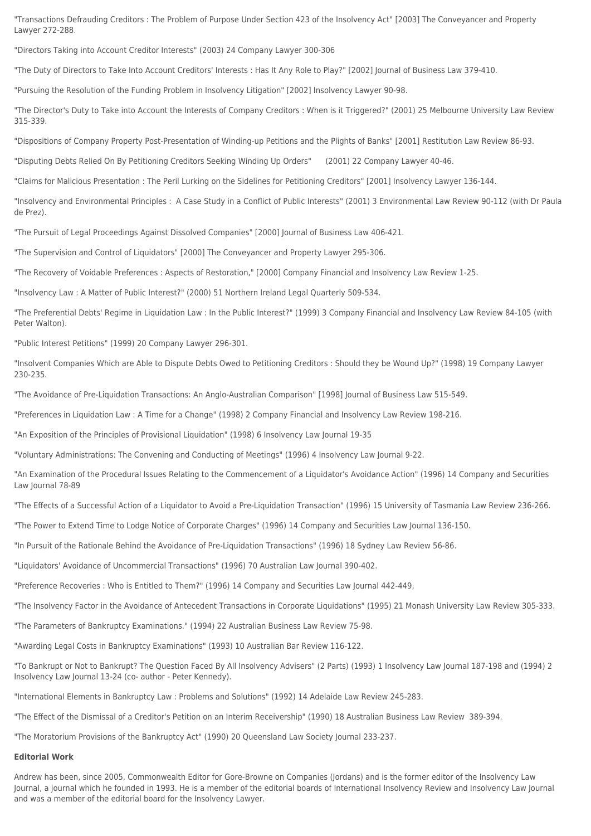"Transactions Defrauding Creditors : The Problem of Purpose Under Section 423 of the Insolvency Act" [2003] The Conveyancer and Property Lawyer 272-288.

"Directors Taking into Account Creditor Interests" (2003) 24 Company Lawyer 300-306

"The Duty of Directors to Take Into Account Creditors' Interests : Has It Any Role to Play?" [2002] Journal of Business Law 379-410.

"Pursuing the Resolution of the Funding Problem in Insolvency Litigation" [2002] Insolvency Lawyer 90-98.

"The Director's Duty to Take into Account the Interests of Company Creditors : When is it Triggered?" (2001) 25 Melbourne University Law Review 315-339.

"Dispositions of Company Property Post-Presentation of Winding-up Petitions and the Plights of Banks" [2001] Restitution Law Review 86-93.

"Disputing Debts Relied On By Petitioning Creditors Seeking Winding Up Orders" (2001) 22 Company Lawyer 40-46.

"Claims for Malicious Presentation : The Peril Lurking on the Sidelines for Petitioning Creditors" [2001] Insolvency Lawyer 136-144.

"Insolvency and Environmental Principles : A Case Study in a Conflict of Public Interests" (2001) 3 Environmental Law Review 90-112 (with Dr Paula de Prez).

"The Pursuit of Legal Proceedings Against Dissolved Companies" [2000] Journal of Business Law 406-421.

"The Supervision and Control of Liquidators" [2000] The Conveyancer and Property Lawyer 295-306.

"The Recovery of Voidable Preferences : Aspects of Restoration," [2000] Company Financial and Insolvency Law Review 1-25.

"Insolvency Law : A Matter of Public Interest?" (2000) 51 Northern Ireland Legal Quarterly 509-534.

"The Preferential Debts' Regime in Liquidation Law : In the Public Interest?" (1999) 3 Company Financial and Insolvency Law Review 84-105 (with Peter Walton).

"Public Interest Petitions" (1999) 20 Company Lawyer 296-301.

"Insolvent Companies Which are Able to Dispute Debts Owed to Petitioning Creditors : Should they be Wound Up?" (1998) 19 Company Lawyer 230-235.

"The Avoidance of Pre-Liquidation Transactions: An Anglo-Australian Comparison" [1998] Journal of Business Law 515-549.

"Preferences in Liquidation Law : A Time for a Change" (1998) 2 Company Financial and Insolvency Law Review 198-216.

"An Exposition of the Principles of Provisional Liquidation" (1998) 6 Insolvency Law Journal 19-35

"Voluntary Administrations: The Convening and Conducting of Meetings" (1996) 4 Insolvency Law Journal 9-22.

"An Examination of the Procedural Issues Relating to the Commencement of a Liquidator's Avoidance Action" (1996) 14 Company and Securities Law Journal 78-89

"The Effects of a Successful Action of a Liquidator to Avoid a Pre-Liquidation Transaction" (1996) 15 University of Tasmania Law Review 236-266.

"The Power to Extend Time to Lodge Notice of Corporate Charges" (1996) 14 Company and Securities Law Journal 136-150.

"In Pursuit of the Rationale Behind the Avoidance of Pre-Liquidation Transactions" (1996) 18 Sydney Law Review 56-86.

"Liquidators' Avoidance of Uncommercial Transactions" (1996) 70 Australian Law Journal 390-402.

"Preference Recoveries : Who is Entitled to Them?" (1996) 14 Company and Securities Law Journal 442-449,

"The Insolvency Factor in the Avoidance of Antecedent Transactions in Corporate Liquidations" (1995) 21 Monash University Law Review 305-333.

"The Parameters of Bankruptcy Examinations." (1994) 22 Australian Business Law Review 75-98.

"Awarding Legal Costs in Bankruptcy Examinations" (1993) 10 Australian Bar Review 116-122.

"To Bankrupt or Not to Bankrupt? The Question Faced By All Insolvency Advisers" (2 Parts) (1993) 1 Insolvency Law Journal 187-198 and (1994) 2 Insolvency Law Journal 13-24 (co- author - Peter Kennedy).

"International Elements in Bankruptcy Law : Problems and Solutions" (1992) 14 Adelaide Law Review 245-283.

"The Effect of the Dismissal of a Creditor's Petition on an Interim Receivership" (1990) 18 Australian Business Law Review 389-394.

"The Moratorium Provisions of the Bankruptcy Act" (1990) 20 Queensland Law Society Journal 233-237.

#### **Editorial Work**

Andrew has been, since 2005, Commonwealth Editor for Gore-Browne on Companies (Jordans) and is the former editor of the Insolvency Law Journal, a journal which he founded in 1993. He is a member of the editorial boards of International Insolvency Review and Insolvency Law Journal and was a member of the editorial board for the Insolvency Lawyer.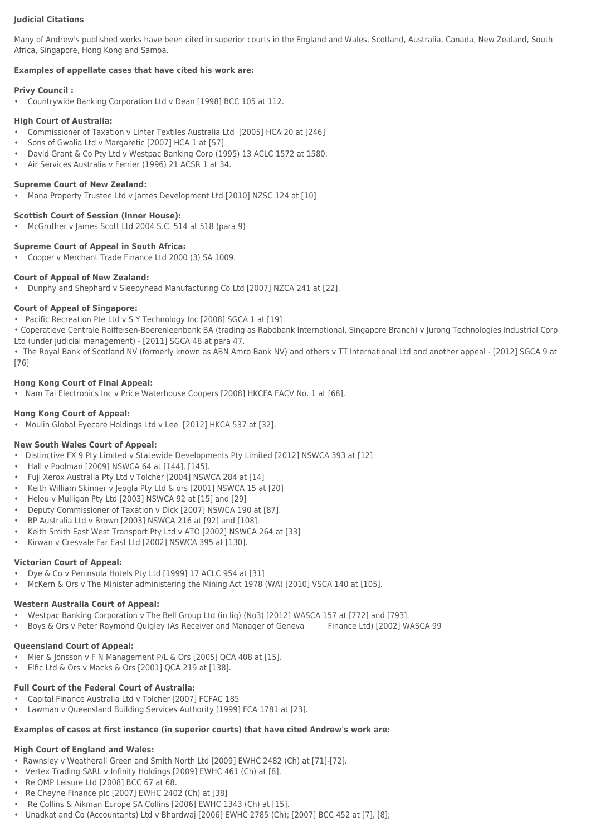#### **Judicial Citations**

Many of Andrew's published works have been cited in superior courts in the England and Wales, Scotland, Australia, Canada, New Zealand, South Africa, Singapore, Hong Kong and Samoa.

#### **Examples of appellate cases that have cited his work are:**

#### **Privy Council :**

• Countrywide Banking Corporation Ltd v Dean [1998] BCC 105 at 112.

#### **High Court of Australia:**

- Commissioner of Taxation v Linter Textiles Australia Ltd [2005] HCA 20 at [246]
- Sons of Gwalia Ltd v Margaretic [2007] HCA 1 at [57]
- David Grant & Co Pty Ltd v Westpac Banking Corp (1995) 13 ACLC 1572 at 1580.
- Air Services Australia v Ferrier (1996) 21 ACSR 1 at 34.

#### **Supreme Court of New Zealand:**

• Mana Property Trustee Ltd v James Development Ltd [2010] NZSC 124 at [10]

#### **Scottish Court of Session (Inner House):**

• McGruther v James Scott Ltd 2004 S.C. 514 at 518 (para 9)

#### **Supreme Court of Appeal in South Africa:**

• Cooper v Merchant Trade Finance Ltd 2000 (3) SA 1009.

#### **Court of Appeal of New Zealand:**

• Dunphy and Shephard v Sleepyhead Manufacturing Co Ltd [2007] NZCA 241 at [22].

#### **Court of Appeal of Singapore:**

• Pacific Recreation Pte Ltd v S Y Technology Inc [2008] SGCA 1 at [19]

• Coperatieve Centrale Raiffeisen-Boerenleenbank BA (trading as Rabobank International, Singapore Branch) v Jurong Technologies Industrial Corp Ltd (under judicial management) - [2011] SGCA 48 at para 47.

• The Royal Bank of Scotland NV (formerly known as ABN Amro Bank NV) and others v TT International Ltd and another appeal - [2012] SGCA 9 at [76]

#### **Hong Kong Court of Final Appeal:**

• Nam Tai Electronics Inc v Price Waterhouse Coopers [2008] HKCFA FACV No. 1 at [68].

#### **Hong Kong Court of Appeal:**

• Moulin Global Eyecare Holdings Ltd v Lee [2012] HKCA 537 at [32].

#### **New South Wales Court of Appeal:**

- Distinctive FX 9 Pty Limited v Statewide Developments Pty Limited [2012] NSWCA 393 at [12].
- Hall v Poolman [2009] NSWCA 64 at [144], [145].
- Fuji Xerox Australia Pty Ltd v Tolcher [2004] NSWCA 284 at [14]
- Keith William Skinner v Jeogla Pty Ltd & ors [2001] NSWCA 15 at [20]
- Helou v Mulligan Pty Ltd [2003] NSWCA 92 at [15] and [29]
- Deputy Commissioner of Taxation v Dick [2007] NSWCA 190 at [87].
- BP Australia Ltd v Brown [2003] NSWCA 216 at [92] and [108].
- Keith Smith East West Transport Pty Ltd v ATO [2002] NSWCA 264 at [33]
- Kirwan v Cresvale Far East Ltd [2002] NSWCA 395 at [130].

#### **Victorian Court of Appeal:**

- Dye & Co v Peninsula Hotels Pty Ltd [1999] 17 ACLC 954 at [31]
- McKern & Ors v The Minister administering the Mining Act 1978 (WA) [2010] VSCA 140 at [105].

## **Western Australia Court of Appeal:**

- Westpac Banking Corporation v The Bell Group Ltd (in liq) (No3) [2012] WASCA 157 at [772] and [793].
- Boys & Ors v Peter Raymond Quigley (As Receiver and Manager of Geneva Finance Ltd) [2002] WASCA 99

## **Queensland Court of Appeal:**

- Mier & Jonsson v F N Management P/L & Ors [2005] QCA 408 at [15].
- Elfic Ltd & Ors v Macks & Ors [2001] QCA 219 at [138].

## **Full Court of the Federal Court of Australia:**

- Capital Finance Australia Ltd v Tolcher [2007] FCFAC 185
- Lawman v Queensland Building Services Authority [1999] FCA 1781 at [23].

## **Examples of cases at first instance (in superior courts) that have cited Andrew's work are:**

## **High Court of England and Wales:**

- Rawnsley v Weatherall Green and Smith North Ltd [2009] EWHC 2482 (Ch) at [71]-[72].
- Vertex Trading SARL v Infinity Holdings [2009] EWHC 461 (Ch) at [8].
- Re OMP Leisure Ltd [2008] BCC 67 at 68.
- Re Cheyne Finance plc [2007] EWHC 2402 (Ch) at [38]
- Re Collins & Aikman Europe SA Collins [2006] EWHC 1343 (Ch) at [15].
- Unadkat and Co (Accountants) Ltd v Bhardwaj [2006] EWHC 2785 (Ch); [2007] BCC 452 at [7], [8];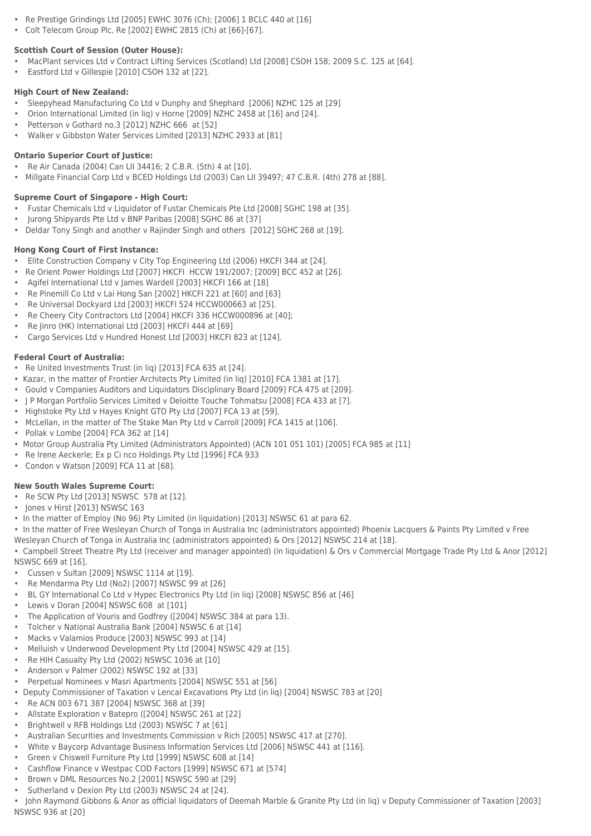- Re Prestige Grindings Ltd [2005] EWHC 3076 (Ch); [2006] 1 BCLC 440 at [16]
- Colt Telecom Group Plc, Re [2002] EWHC 2815 (Ch) at [66]-[67].

## **Scottish Court of Session (Outer House):**

- MacPlant services Ltd v Contract Lifting Services (Scotland) Ltd [2008] CSOH 158; 2009 S.C. 125 at [64].
- Eastford Ltd v Gillespie [2010] CSOH 132 at [22].

## **High Court of New Zealand:**

- Sleepyhead Manufacturing Co Ltd v Dunphy and Shephard [2006] NZHC 125 at [29]
- Orion International Limited (in liq) v Horne [2009] NZHC 2458 at [16] and [24].
- Petterson v Gothard no.3 [2012] NZHC 666 at [52]
- Walker v Gibbston Water Services Limited [2013] NZHC 2933 at [81]

## **Ontario Superior Court of Justice:**

- Re Air Canada (2004) Can LII 34416; 2 C.B.R. (5th) 4 at [10].
- Millgate Financial Corp Ltd v BCED Holdings Ltd (2003) Can LII 39497; 47 C.B.R. (4th) 278 at [88].

## **Supreme Court of Singapore - High Court:**

- Fustar Chemicals Ltd v Liquidator of Fustar Chemicals Pte Ltd [2008] SGHC 198 at [35].
- Jurong Shipyards Pte Ltd v BNP Paribas [2008] SGHC 86 at [37]
- Deldar Tony Singh and another v Rajinder Singh and others [2012] SGHC 268 at [19].

## **Hong Kong Court of First Instance:**

- Elite Construction Company v City Top Engineering Ltd (2006) HKCFI 344 at [24].
- Re Orient Power Holdings Ltd [2007] HKCFI HCCW 191/2007; [2009] BCC 452 at [26].
- Agifel International Ltd v James Wardell [2003] HKCFI 166 at [18]
- Re Pinemill Co Ltd v Lai Hong San [2002] HKCFI 221 at [60] and [63]
- Re Universal Dockyard Ltd [2003] HKCFI 524 HCCW000663 at [25].
- Re Cheery City Contractors Ltd [2004] HKCFI 336 HCCW000896 at [40];
- Re Jinro (HK) International Ltd [2003] HKCFI 444 at [69]
- Cargo Services Ltd v Hundred Honest Ltd [2003] HKCFI 823 at [124].

## **Federal Court of Australia:**

- Re United Investments Trust (in liq) [2013] FCA 635 at [24].
- Kazar, in the matter of Frontier Architects Pty Limited (in liq) [2010] FCA 1381 at [17].
- Gould v Companies Auditors and Liquidators Disciplinary Board [2009] FCA 475 at [209].
- J P Morgan Portfolio Services Limited v Deloitte Touche Tohmatsu [2008] FCA 433 at [7].
- Highstoke Pty Ltd v Hayes Knight GTO Pty Ltd [2007] FCA 13 at [59].
- McLellan, in the matter of The Stake Man Pty Ltd v Carroll [2009] FCA 1415 at [106].
- Pollak v Lombe [2004] FCA 362 at [14]
- Motor Group Australia Pty Limited (Administrators Appointed) (ACN 101 051 101) [2005] FCA 985 at [11]
- Re Irene Aeckerle; Ex p Ci nco Holdings Pty Ltd [1996] FCA 933
- Condon v Watson [2009] FCA 11 at [68].

## **New South Wales Supreme Court:**

- Re SCW Pty Ltd [2013] NSWSC 578 at [12].
- Jones v Hirst [2013] NSWSC 163
- In the matter of Employ (No 96) Pty Limited (in liquidation) [2013] NSWSC 61 at para 62.
- In the matter of Free Wesleyan Church of Tonga in Australia Inc (administrators appointed) Phoenix Lacquers & Paints Pty Limited v Free
- Wesleyan Church of Tonga in Australia Inc (administrators appointed) & Ors [2012] NSWSC 214 at [18].
- Campbell Street Theatre Pty Ltd (receiver and manager appointed) (in liquidation) & Ors v Commercial Mortgage Trade Pty Ltd & Anor [2012] NSWSC 669 at [16].
- 
- Cussen v Sultan [2009] NSWSC 1114 at [19].
- Re Mendarma Pty Ltd (No2) [2007] NSWSC 99 at [26]
- BL GY International Co Ltd v Hypec Electronics Pty Ltd (in liq) [2008] NSWSC 856 at [46]
- Lewis v Doran [2004] NSWSC 608 at [101]
- The Application of Vouris and Godfrey ([2004] NSWSC 384 at para 13).
- Tolcher v National Australia Bank [2004] NSWSC 6 at [14]
- Macks v Valamios Produce [2003] NSWSC 993 at [14]
- Melluish v Underwood Development Pty Ltd [2004] NSWSC 429 at [15].
- Re HIH Casualty Pty Ltd (2002) NSWSC 1036 at [10]
- Anderson v Palmer (2002) NSWSC 192 at [33]
- Perpetual Nominees v Masri Apartments [2004] NSWSC 551 at [56]
- Deputy Commissioner of Taxation v Lencal Excavations Pty Ltd (in liq) [2004] NSWSC 783 at [20]
- Re ACN 003 671 387 [2004] NSWSC 368 at [39]
- Allstate Exploration v Batepro ([2004] NSWSC 261 at [22]
- Brightwell v RFB Holdings Ltd (2003) NSWSC 7 at [61]
- Australian Securities and Investments Commission v Rich [2005] NSWSC 417 at [270].
- White v Baycorp Advantage Business Information Services Ltd [2006] NSWSC 441 at [116].
- Green v Chiswell Furniture Pty Ltd [1999] NSWSC 608 at [14]
- Cashflow Finance v Westpac COD Factors [1999] NSWSC 671 at [574]
- Brown v DML Resources No.2 [2001] NSWSC 590 at [29]
- Sutherland v Dexion Pty Ltd (2003) NSWSC 24 at [24].

• John Raymond Gibbons & Anor as official liquidators of Deemah Marble & Granite Pty Ltd (in liq) v Deputy Commissioner of Taxation [2003] NSWSC 936 at [20]